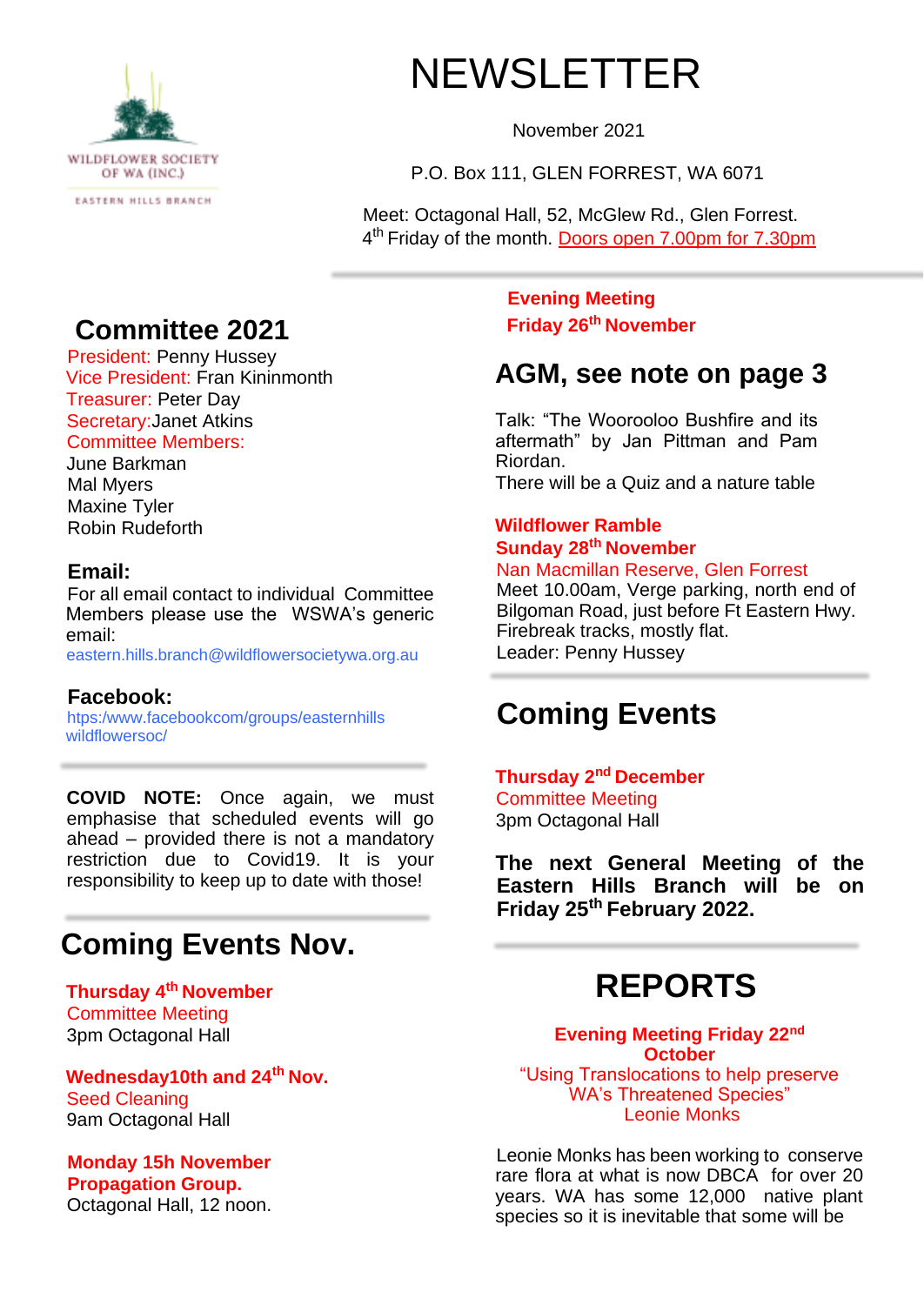

NEWSLETTER

November 2021

P.O. Box 111, GLEN FORREST, WA 6071

Meet: Octagonal Hall, 52, McGlew Rd., Glen Forrest. 4<sup>th</sup> Friday of the month. Doors open 7.00pm for 7.30pm

## **Committee 2021**

President: Penny Hussey Vice President: Fran Kininmonth Treasurer: Peter Day Secretary:Janet Atkins Committee Members:

June Barkman Mal Myers Maxine Tyler Robin Rudeforth

### **Email:**

For all email contact to individual Committee Members please use the WSWA's generic email:

eastern.hills.branch@wildflowersocietywa.org.au

### **Facebook:**

htps:/www.facebookcom/groups/easternhills wildflowersoc/

**COVID NOTE:** Once again, we must emphasise that scheduled events will go ahead – provided there is not a mandatory restriction due to Covid19. It is your responsibility to keep up to date with those!

## **Coming Events Nov.**

**Thursday 4th November**  Committee Meeting 3pm Octagonal Hall

**Wednesday10th and 24th Nov.**  Seed Cleaning 9am Octagonal Hall

**Monday 15h November Propagation Group.**  Octagonal Hall, 12 noon. **Evening Meeting Friday 26th November** 

## **AGM, see note on page 3**

Talk: "The Woorooloo Bushfire and its aftermath" by Jan Pittman and Pam Riordan. There will be a Quiz and a nature table

**Wildflower Ramble Sunday 28th November** 

#### Nan Macmillan Reserve, Glen Forrest

Meet 10.00am, Verge parking, north end of Bilgoman Road, just before Ft Eastern Hwy. Firebreak tracks, mostly flat. Leader: Penny Hussey

## **Coming Events**

**Thursday 2nd December**  Committee Meeting 3pm Octagonal Hall

**The next General Meeting of the Eastern Hills Branch will be on Friday 25th February 2022.** 

# **REPORTS**

**Evening Meeting Friday 22nd October** "Using Translocations to help preserve WA's Threatened Species" Leonie Monks

Leonie Monks has been working to conserve rare flora at what is now DBCA for over 20 years. WA has some 12,000 native plant species so it is inevitable that some will be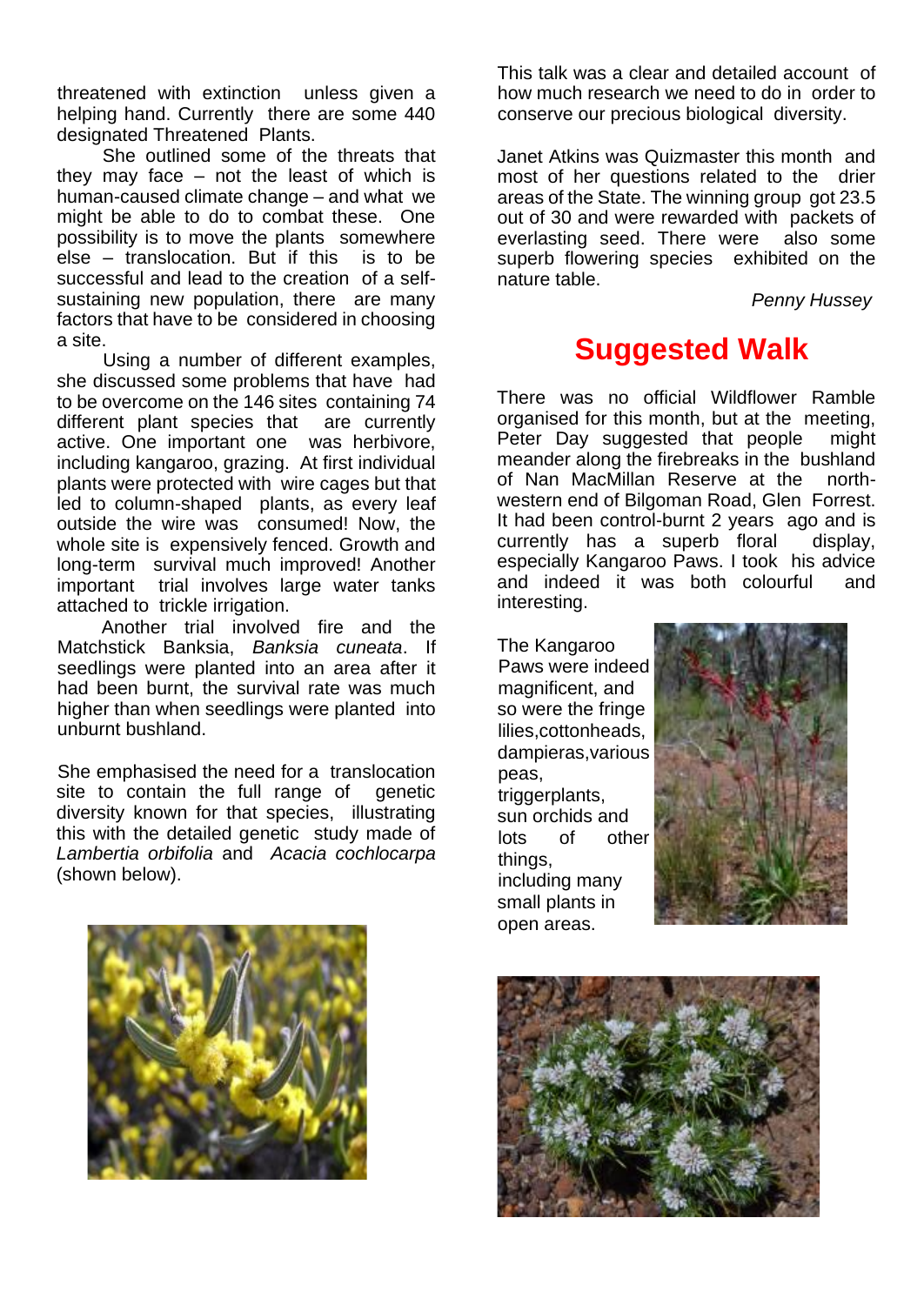threatened with extinction unless given a helping hand. Currently there are some 440 designated Threatened Plants.

She outlined some of the threats that they may face – not the least of which is human-caused climate change – and what we might be able to do to combat these. One possibility is to move the plants somewhere else – translocation. But if this is to be successful and lead to the creation of a selfsustaining new population, there are many factors that have to be considered in choosing a site.

Using a number of different examples, she discussed some problems that have had to be overcome on the 146 sites containing 74 different plant species that are currently active. One important one was herbivore, including kangaroo, grazing. At first individual plants were protected with wire cages but that led to column-shaped plants, as every leaf outside the wire was consumed! Now, the whole site is expensively fenced. Growth and long-term survival much improved! Another important trial involves large water tanks attached to trickle irrigation.

Another trial involved fire and the Matchstick Banksia, *Banksia cuneata*. If seedlings were planted into an area after it had been burnt, the survival rate was much higher than when seedlings were planted into unburnt bushland.

She emphasised the need for a translocation site to contain the full range of genetic diversity known for that species, illustrating this with the detailed genetic study made of *Lambertia orbifolia* and *Acacia cochlocarpa*  (shown below).

This talk was a clear and detailed account of how much research we need to do in order to conserve our precious biological diversity.

Janet Atkins was Quizmaster this month and most of her questions related to the drier areas of the State. The winning group got 23.5 out of 30 and were rewarded with packets of everlasting seed. There were also some superb flowering species exhibited on the nature table.

*Penny Hussey* 

## **Suggested Walk**

There was no official Wildflower Ramble organised for this month, but at the meeting, Peter Day suggested that people might meander along the firebreaks in the bushland of Nan MacMillan Reserve at the northwestern end of Bilgoman Road, Glen Forrest. It had been control-burnt 2 years ago and is currently has a superb floral display, especially Kangaroo Paws. I took his advice and indeed it was both colourful and interesting.

The Kangaroo Paws were indeed magnificent, and so were the fringe lilies,cottonheads, dampieras,various peas, triggerplants, sun orchids and lots of other things, including many small plants in open areas.





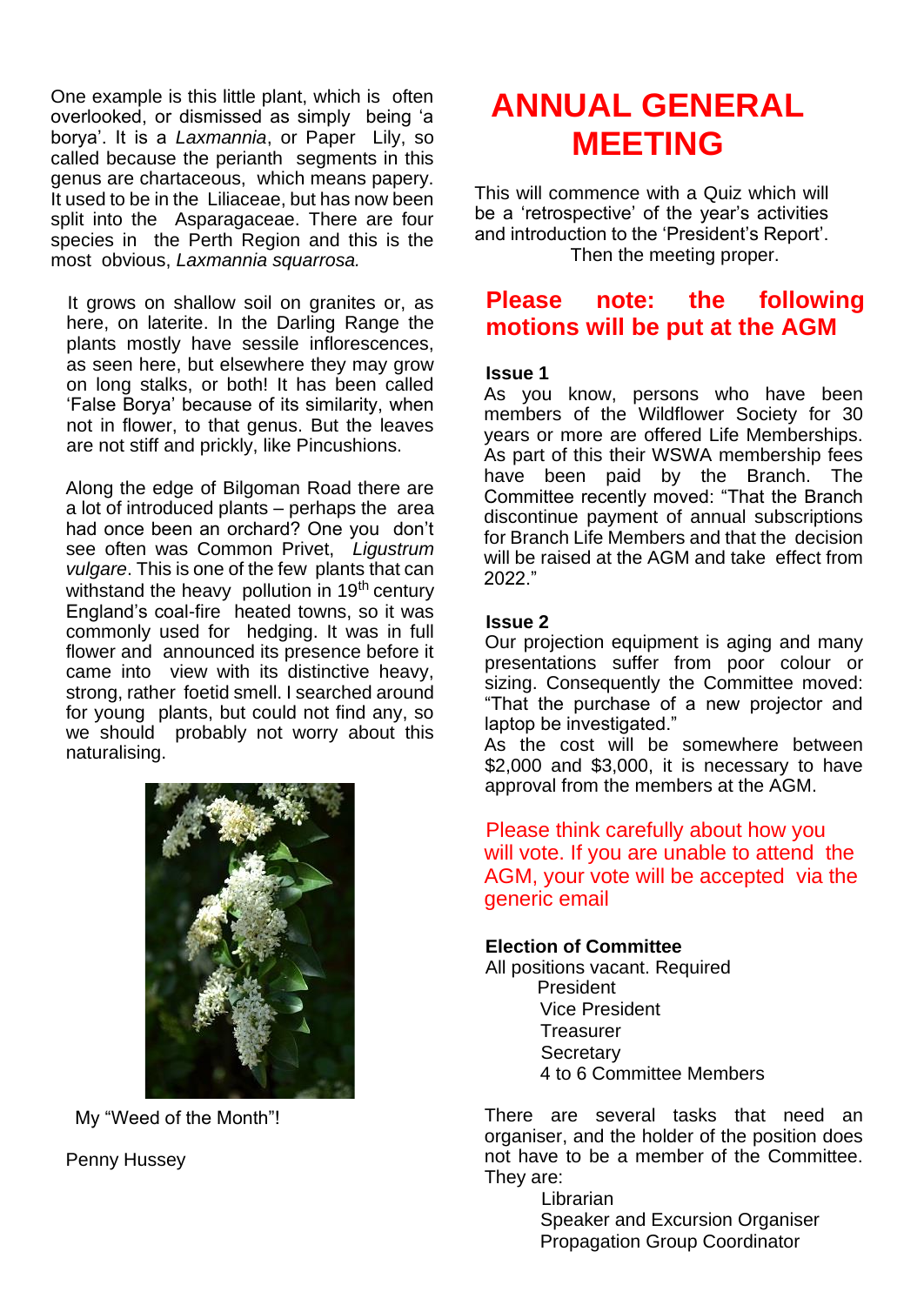One example is this little plant, which is often overlooked, or dismissed as simply being 'a borya'. It is a *Laxmannia*, or Paper Lily, so called because the perianth segments in this genus are chartaceous, which means papery. It used to be in the Liliaceae, but has now been split into the Asparagaceae. There are four species in the Perth Region and this is the most obvious, *Laxmannia squarrosa.* 

It grows on shallow soil on granites or, as here, on laterite. In the Darling Range the plants mostly have sessile inflorescences, as seen here, but elsewhere they may grow on long stalks, or both! It has been called 'False Borya' because of its similarity, when not in flower, to that genus. But the leaves are not stiff and prickly, like Pincushions.

Along the edge of Bilgoman Road there are a lot of introduced plants – perhaps the area had once been an orchard? One you don't see often was Common Privet, *Ligustrum vulgare*. This is one of the few plants that can withstand the heavy pollution in  $19<sup>th</sup>$  century England's coal-fire heated towns, so it was commonly used for hedging. It was in full flower and announced its presence before it came into view with its distinctive heavy, strong, rather foetid smell. I searched around for young plants, but could not find any, so we should probably not worry about this naturalising.



My "Weed of the Month"!

Penny Hussey

# **ANNUAL GENERAL MEETING**

This will commence with a Quiz which will be a 'retrospective' of the year's activities and introduction to the 'President's Report'. Then the meeting proper.

### **Please note: the following motions will be put at the AGM**

### **Issue 1**

As you know, persons who have been members of the Wildflower Society for 30 years or more are offered Life Memberships. As part of this their WSWA membership fees have been paid by the Branch. The Committee recently moved: "That the Branch discontinue payment of annual subscriptions for Branch Life Members and that the decision will be raised at the AGM and take effect from 2022."

#### **Issue 2**

Our projection equipment is aging and many presentations suffer from poor colour or sizing. Consequently the Committee moved: "That the purchase of a new projector and laptop be investigated."

As the cost will be somewhere between \$2,000 and \$3,000, it is necessary to have approval from the members at the AGM.

Please think carefully about how you will vote. If you are unable to attend the AGM, your vote will be accepted via the generic email

### **Election of Committee**

All positions vacant. Required President Vice President **Treasurer Secretary** 4 to 6 Committee Members

There are several tasks that need an organiser, and the holder of the position does not have to be a member of the Committee. They are:

**Librarian** Speaker and Excursion Organiser Propagation Group Coordinator